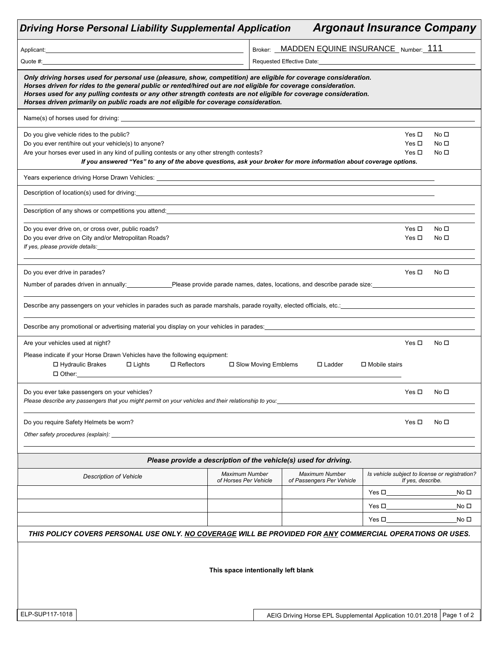| <b>Driving Horse Personal Liability Supplemental Application</b>                                                                                                                                                                                                                                                                                                                                                                               |                                         |                                                                                                                 |                                                                          | <b>Argonaut Insurance Company</b>                                   |                                                       |
|------------------------------------------------------------------------------------------------------------------------------------------------------------------------------------------------------------------------------------------------------------------------------------------------------------------------------------------------------------------------------------------------------------------------------------------------|-----------------------------------------|-----------------------------------------------------------------------------------------------------------------|--------------------------------------------------------------------------|---------------------------------------------------------------------|-------------------------------------------------------|
|                                                                                                                                                                                                                                                                                                                                                                                                                                                |                                         |                                                                                                                 | Broker: MADDEN EQUINE INSURANCE Number: 111                              |                                                                     |                                                       |
| Quote #: Note and the second second second second second second second second second second second second second second second second second second second second second second second second second second second second seco                                                                                                                                                                                                                 |                                         | Requested Effective Date: National According to the Contract of the Contract of the Contract of the Contract of |                                                                          |                                                                     |                                                       |
| Only driving horses used for personal use (pleasure, show, competition) are eligible for coverage consideration.<br>Horses driven for rides to the general public or rented/hired out are not eligible for coverage consideration.<br>Horses used for any pulling contests or any other strength contests are not eligible for coverage consideration.<br>Horses driven primarily on public roads are not eligible for coverage consideration. |                                         |                                                                                                                 |                                                                          |                                                                     |                                                       |
|                                                                                                                                                                                                                                                                                                                                                                                                                                                |                                         |                                                                                                                 |                                                                          |                                                                     |                                                       |
| Do you give vehicle rides to the public?<br>Do you ever rent/hire out your vehicle(s) to anyone?<br>Are your horses ever used in any kind of pulling contests or any other strength contests?<br>If you answered "Yes" to any of the above questions, ask your broker for more information about coverage options.                                                                                                                             |                                         |                                                                                                                 |                                                                          |                                                                     | No <sub>1</sub><br>No <sub>1</sub><br>No <sub>1</sub> |
| Years experience driving Horse Drawn Vehicles: Network and the state of the state of the state of the state of                                                                                                                                                                                                                                                                                                                                 |                                         |                                                                                                                 |                                                                          |                                                                     |                                                       |
| Description of location(s) used for driving: example and the set of the set of the set of the set of the set of the set of the set of the set of the set of the set of the set of the set of the set of the set of the set of                                                                                                                                                                                                                  |                                         |                                                                                                                 |                                                                          |                                                                     |                                                       |
| Description of any shows or competitions you attend: example and any of the state of the state of the state of the state of the state of the state of the state of the state of the state of the state of the state of the sta                                                                                                                                                                                                                 |                                         |                                                                                                                 |                                                                          |                                                                     |                                                       |
| Do you ever drive on, or cross over, public roads?<br>Do you ever drive on City and/or Metropolitan Roads?                                                                                                                                                                                                                                                                                                                                     |                                         |                                                                                                                 |                                                                          | Yes $\Box$<br>Yes $\Box$                                            | No □<br>No <sub>1</sub>                               |
| Do you ever drive in parades?                                                                                                                                                                                                                                                                                                                                                                                                                  |                                         |                                                                                                                 |                                                                          | Yes $\Box$                                                          | No □                                                  |
| Number of parades driven in annually: Please provide parade names, dates, locations, and describe parade size:                                                                                                                                                                                                                                                                                                                                 |                                         |                                                                                                                 |                                                                          |                                                                     |                                                       |
|                                                                                                                                                                                                                                                                                                                                                                                                                                                |                                         |                                                                                                                 |                                                                          |                                                                     |                                                       |
| Describe any promotional or advertising material you display on your vehicles in parades: example and the state of the state of the state of the state of the state of the state of the state of the state of the state of the                                                                                                                                                                                                                 |                                         |                                                                                                                 |                                                                          |                                                                     |                                                       |
| Are your vehicles used at night?                                                                                                                                                                                                                                                                                                                                                                                                               |                                         |                                                                                                                 |                                                                          | Yes $\Box$                                                          | No □                                                  |
| Please indicate if your Horse Drawn Vehicles have the following equipment:<br>$\Box$ Hydraulic Brakes<br>$\Box$ Lights<br>$\Box$ Reflectors<br>$\Box$ Other: $\Box$                                                                                                                                                                                                                                                                            |                                         | □ Slow Moving Emblems                                                                                           | $\Box$ Ladder                                                            | $\Box$ Mobile stairs                                                |                                                       |
| Do you ever take passengers on your vehicles?<br>Please describe any passengers that you might permit on your vehicles and their relationship to you:__________                                                                                                                                                                                                                                                                                |                                         |                                                                                                                 |                                                                          | Yes □                                                               | No □                                                  |
| Do you require Safety Helmets be worn?                                                                                                                                                                                                                                                                                                                                                                                                         |                                         |                                                                                                                 |                                                                          | Yes $\Box$                                                          | No <sub>1</sub>                                       |
| Other safety procedures (explain):                                                                                                                                                                                                                                                                                                                                                                                                             |                                         |                                                                                                                 |                                                                          |                                                                     |                                                       |
|                                                                                                                                                                                                                                                                                                                                                                                                                                                |                                         |                                                                                                                 | Please provide a description of the vehicle(s) used for driving.         |                                                                     |                                                       |
| <b>Description of Vehicle</b>                                                                                                                                                                                                                                                                                                                                                                                                                  | Maximum Number<br>of Horses Per Vehicle |                                                                                                                 | <b>Maximum Number</b><br>of Passengers Per Vehicle                       | Is vehicle subject to license or registration?<br>If yes, describe. |                                                       |
|                                                                                                                                                                                                                                                                                                                                                                                                                                                |                                         |                                                                                                                 |                                                                          | Yes □                                                               | No □                                                  |
|                                                                                                                                                                                                                                                                                                                                                                                                                                                |                                         |                                                                                                                 |                                                                          | Yes $\Box$                                                          | No □                                                  |
|                                                                                                                                                                                                                                                                                                                                                                                                                                                |                                         |                                                                                                                 |                                                                          | Yes $\Box$                                                          | No □                                                  |
| THIS POLICY COVERS PERSONAL USE ONLY. NO COVERAGE WILL BE PROVIDED FOR ANY COMMERCIAL OPERATIONS OR USES.                                                                                                                                                                                                                                                                                                                                      |                                         |                                                                                                                 |                                                                          |                                                                     |                                                       |
|                                                                                                                                                                                                                                                                                                                                                                                                                                                | This space intentionally left blank     |                                                                                                                 |                                                                          |                                                                     |                                                       |
| ELP-SUP117-1018                                                                                                                                                                                                                                                                                                                                                                                                                                |                                         |                                                                                                                 | AEIG Driving Horse EPL Supplemental Application 10.01.2018   Page 1 of 2 |                                                                     |                                                       |